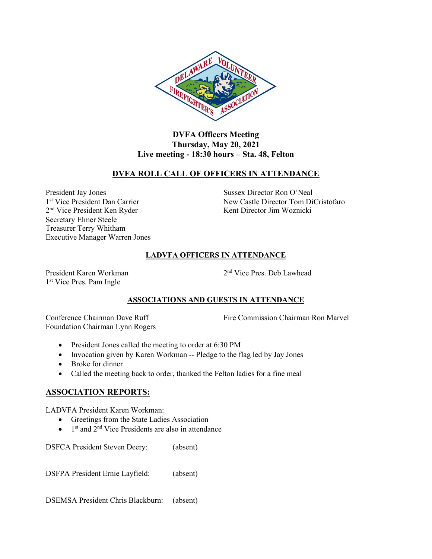

## **DVFA Officers Meeting Thursday, May 20, 2021 Live meeting - 18:30 hours – Sta. 48, Felton**

# **DVFA ROLL CALL OF OFFICERS IN ATTENDANCE**

President Jay Jones Sussex Director Ron O'Neal 1st Vice President Dan Carrier Secretary Elmer Steele Treasurer Terry Whitham Executive Manager Warren Jones

New Castle Director Tom DiCristofaro 2<sup>nd</sup> Vice President Ken Ryder Kent Director Jim Woznicki

### **LADVFA OFFICERS IN ATTENDANCE**

President Karen Workman 2 1 st Vice Pres. Pam Ingle

2<sup>nd</sup> Vice Pres. Deb Lawhead

## **ASSOCIATIONS AND GUESTS IN ATTENDANCE**

Foundation Chairman Lynn Rogers

Conference Chairman Dave Ruff Fire Commission Chairman Ron Marvel

- President Jones called the meeting to order at 6:30 PM
- Invocation given by Karen Workman -- Pledge to the flag led by Jay Jones
- Broke for dinner
- Called the meeting back to order, thanked the Felton ladies for a fine meal

# **ASSOCIATION REPORTS:**

LADVFA President Karen Workman:

- Greetings from the State Ladies Association
- $\bullet$  1<sup>st</sup> and 2<sup>nd</sup> Vice Presidents are also in attendance

DSFCA President Steven Deery: (absent)

DSFPA President Ernie Layfield: (absent)

DSEMSA President Chris Blackburn: (absent)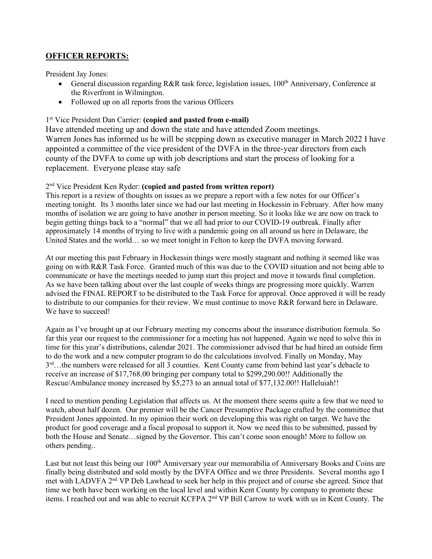# **OFFICER REPORTS:**

President Jay Jones:

- General discussion regarding R&R task force, legislation issues,  $100<sup>th</sup>$  Anniversary, Conference at the Riverfront in Wilmington.
- Followed up on all reports from the various Officers

### 1 st Vice President Dan Carrier: **(copied and pasted from e-mail)**

Have attended meeting up and down the state and have attended Zoom meetings. Warren Jones has informed us he will be stepping down as executive manager in March 2022 I have appointed a committee of the vice president of the DVFA in the three-year directors from each county of the DVFA to come up with job descriptions and start the process of looking for a replacement. Everyone please stay safe

### 2 nd Vice President Ken Ryder: **(copied and pasted from written report)**

This report is a review of thoughts on issues as we prepare a report with a few notes for our Officer's meeting tonight. Its 3 months later since we had our last meeting in Hockessin in February. After how many months of isolation we are going to have another in person meeting. So it looks like we are now on track to begin getting things back to a "normal" that we all had prior to our COVID-19 outbreak. Finally after approximately 14 months of trying to live with a pandemic going on all around us here in Delaware, the United States and the world... so we meet tonight in Felton to keep the DVFA moving forward.

At our meeting this past February in Hockessin things were mostly stagnant and nothing it seemed like was going on with R&R Task Force. Granted much of this was due to the COVID situation and not being able to communicate or have the meetings needed to jump start this project and move it towards final completion. As we have been talking about over the last couple of weeks things are progressing more quickly. Warren advised the FINAL REPORT to be distributed to the Task Force for approval. Once approved it will be ready to distribute to our companies for their review. We must continue to move R&R forward here in Delaware. We have to succeed!

Again as I've brought up at our February meeting my concerns about the insurance distribution formula. So far this year our request to the commissioner for a meeting has not happened. Again we need to solve this in time for this year's distributions, calendar 2021. The commissioner advised that he had hired an outside firm to do the work and a new computer program to do the calculations involved. Finally on Monday, May 3<sup>rd</sup>…the numbers were released for all 3 counties. Kent County came from behind last year's debacle to receive an increase of \$17,768.00 bringing per company total to \$299,290.00!! Additionally the Rescue/Ambulance money increased by \$5,273 to an annual total of \$77,132.00!! Halleluiah!!

I need to mention pending Legislation that affects us. At the moment there seems quite a few that we need to watch, about half dozen. Our premier will be the Cancer Presumptive Package crafted by the committee that President Jones appointed. In my opinion their work on developing this was right on target. We have the product for good coverage and a fiscal proposal to support it. Now we need this to be submitted, passed by both the House and Senate…signed by the Governor. This can't come soon enough! More to follow on others pending..

Last but not least this being our 100<sup>th</sup> Anniversary year our memorabilia of Anniversary Books and Coins are finally being distributed and sold mostly by the DVFA Office and we three Presidents. Several months ago I met with LADVFA 2nd VP Deb Lawhead to seek her help in this project and of course she agreed. Since that time we both have been working on the local level and within Kent County by company to promote these items. I reached out and was able to recruit KCFPA 2nd VP Bill Carrow to work with us in Kent County. The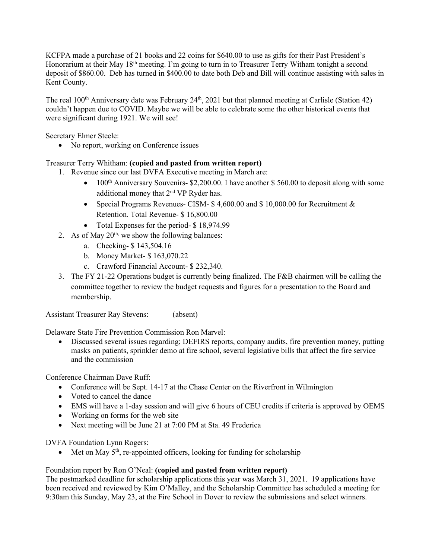KCFPA made a purchase of 21 books and 22 coins for \$640.00 to use as gifts for their Past President's Honorarium at their May 18<sup>th</sup> meeting. I'm going to turn in to Treasurer Terry Witham tonight a second deposit of \$860.00. Deb has turned in \$400.00 to date both Deb and Bill will continue assisting with sales in Kent County.

The real 100<sup>th</sup> Anniversary date was February 24<sup>th</sup>, 2021 but that planned meeting at Carlisle (Station 42) couldn't happen due to COVID. Maybe we will be able to celebrate some the other historical events that were significant during 1921. We will see!

Secretary Elmer Steele:

• No report, working on Conference issues

### Treasurer Terry Whitham: **(copied and pasted from written report)**

1. Revenue since our last DVFA Executive meeting in March are:

- 100<sup>th</sup> Anniversary Souvenirs- \$2,200.00. I have another \$560.00 to deposit along with some additional money that  $2<sup>nd</sup> VP$  Ryder has.
- Special Programs Revenues- CISM- \$4,600.00 and \$10,000.00 for Recruitment & Retention. Total Revenue- \$ 16,800.00
- Total Expenses for the period- \$18,974.99
- 2. As of May  $20<sup>th</sup>$ , we show the following balances:
	- a. Checking- \$ 143,504.16
	- b. Money Market- \$ 163,070.22
	- c. Crawford Financial Account- \$ 232,340.
- 3. The FY 21-22 Operations budget is currently being finalized. The F&B chairmen will be calling the committee together to review the budget requests and figures for a presentation to the Board and membership.

Assistant Treasurer Ray Stevens: (absent)

Delaware State Fire Prevention Commission Ron Marvel:

• Discussed several issues regarding; DEFIRS reports, company audits, fire prevention money, putting masks on patients, sprinkler demo at fire school, several legislative bills that affect the fire service and the commission

Conference Chairman Dave Ruff:

- Conference will be Sept. 14-17 at the Chase Center on the Riverfront in Wilmington
- Voted to cancel the dance
- EMS will have a 1-day session and will give 6 hours of CEU credits if criteria is approved by OEMS
- Working on forms for the web site
- Next meeting will be June 21 at 7:00 PM at Sta. 49 Frederica

DVFA Foundation Lynn Rogers:

• Met on May  $5<sup>th</sup>$ , re-appointed officers, looking for funding for scholarship

#### Foundation report by Ron O'Neal: **(copied and pasted from written report)**

The postmarked deadline for scholarship applications this year was March 31, 2021. 19 applications have been received and reviewed by Kim O'Malley, and the Scholarship Committee has scheduled a meeting for 9:30am this Sunday, May 23, at the Fire School in Dover to review the submissions and select winners.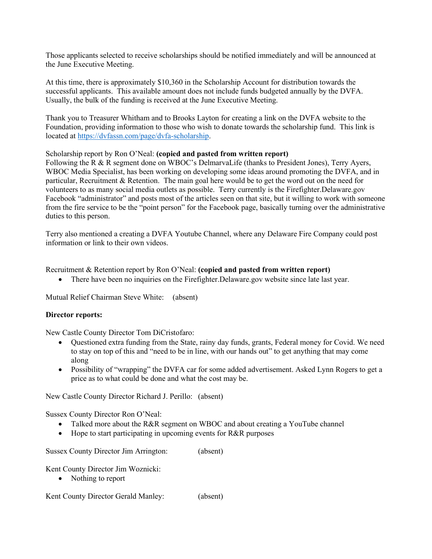Those applicants selected to receive scholarships should be notified immediately and will be announced at the June Executive Meeting.

At this time, there is approximately \$10,360 in the Scholarship Account for distribution towards the successful applicants. This available amount does not include funds budgeted annually by the DVFA. Usually, the bulk of the funding is received at the June Executive Meeting.

Thank you to Treasurer Whitham and to Brooks Layton for creating a link on the DVFA website to the Foundation, providing information to those who wish to donate towards the scholarship fund. This link is located at [https://dvfassn.com/page/dvfa-scholarship.](https://dvfassn.com/page/dvfa-scholarship)

#### Scholarship report by Ron O'Neal: **(copied and pasted from written report)**

Following the R & R segment done on WBOC's DelmarvaLife (thanks to President Jones), Terry Ayers, WBOC Media Specialist, has been working on developing some ideas around promoting the DVFA, and in particular, Recruitment & Retention. The main goal here would be to get the word out on the need for volunteers to as many social media outlets as possible. Terry currently is the Firefighter.Delaware.gov Facebook "administrator" and posts most of the articles seen on that site, but it willing to work with someone from the fire service to be the "point person" for the Facebook page, basically turning over the administrative duties to this person.

Terry also mentioned a creating a DVFA Youtube Channel, where any Delaware Fire Company could post information or link to their own videos.

Recruitment & Retention report by Ron O'Neal: **(copied and pasted from written report)**

• There have been no inquiries on the Firefighter. Delaware.gov website since late last year.

Mutual Relief Chairman Steve White: (absent)

#### **Director reports:**

New Castle County Director Tom DiCristofaro:

- Questioned extra funding from the State, rainy day funds, grants, Federal money for Covid. We need to stay on top of this and "need to be in line, with our hands out" to get anything that may come along
- Possibility of "wrapping" the DVFA car for some added advertisement. Asked Lynn Rogers to get a price as to what could be done and what the cost may be.

New Castle County Director Richard J. Perillo: (absent)

Sussex County Director Ron O'Neal:

- Talked more about the R&R segment on WBOC and about creating a YouTube channel
- Hope to start participating in upcoming events for R&R purposes

Sussex County Director Jim Arrington: (absent)

Kent County Director Jim Woznicki:

• Nothing to report

Kent County Director Gerald Manley: (absent)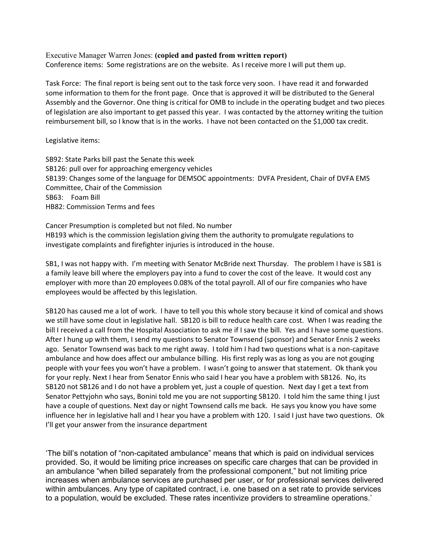Executive Manager Warren Jones: **(copied and pasted from written report)**

Conference items: Some registrations are on the website. As I receive more I will put them up.

Task Force: The final report is being sent out to the task force very soon. I have read it and forwarded some information to them for the front page. Once that is approved it will be distributed to the General Assembly and the Governor. One thing is critical for OMB to include in the operating budget and two pieces of legislation are also important to get passed this year. I was contacted by the attorney writing the tuition reimbursement bill, so I know that is in the works. I have not been contacted on the \$1,000 tax credit.

Legislative items:

SB92: State Parks bill past the Senate this week SB126: pull over for approaching emergency vehicles SB139: Changes some of the language for DEMSOC appointments: DVFA President, Chair of DVFA EMS Committee, Chair of the Commission SB63: Foam Bill HB82: Commission Terms and fees

Cancer Presumption is completed but not filed. No number HB193 which is the commission legislation giving them the authority to promulgate regulations to investigate complaints and firefighter injuries is introduced in the house.

SB1, I was not happy with. I'm meeting with Senator McBride next Thursday. The problem I have is SB1 is a family leave bill where the employers pay into a fund to cover the cost of the leave. It would cost any employer with more than 20 employees 0.08% of the total payroll. All of our fire companies who have employees would be affected by this legislation.

SB120 has caused me a lot of work. I have to tell you this whole story because it kind of comical and shows we still have some clout in legislative hall. SB120 is bill to reduce health care cost. When I was reading the bill I received a call from the Hospital Association to ask me if I saw the bill. Yes and I have some questions. After I hung up with them, I send my questions to Senator Townsend (sponsor) and Senator Ennis 2 weeks ago. Senator Townsend was back to me right away. I told him I had two questions what is a non-capitave ambulance and how does affect our ambulance billing. His first reply was as long as you are not gouging people with your fees you won't have a problem. I wasn't going to answer that statement. Ok thank you for your reply. Next I hear from Senator Ennis who said I hear you have a problem with SB126. No, its SB120 not SB126 and I do not have a problem yet, just a couple of question. Next day I get a text from Senator Pettyjohn who says, Bonini told me you are not supporting SB120. I told him the same thing I just have a couple of questions. Next day or night Townsend calls me back. He says you know you have some influence her in legislative hall and I hear you have a problem with 120. I said I just have two questions. Ok I'll get your answer from the insurance department

'The bill's notation of "non-capitated ambulance" means that which is paid on individual services provided. So, it would be limiting price increases on specific care charges that can be provided in an ambulance "when billed separately from the professional component," but not limiting price increases when ambulance services are purchased per user, or for professional services delivered within ambulances. Any type of capitated contract, i.e. one based on a set rate to provide services to a population, would be excluded. These rates incentivize providers to streamline operations.'